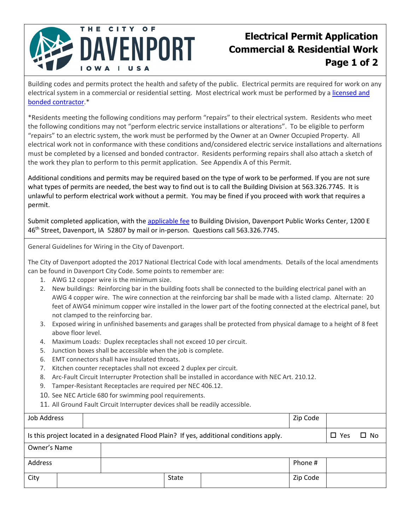

## **Electrical Permit Application Commercial & Residential Work Page 1 of 2**

Building codes and permits protect the health and safety of the public. Electrical permits are required for work on any electrical system in a commercial or residential setting. Most electrical work must be performed by a licensed and bonded contractor.\*

\*Residents meeting the following conditions may perform "repairs" to their electrical system. Residents who meet the following conditions may not "perform electric service installations or alterations". To be eligible to perform "repairs" to an electric system, the work must be performed by the Owner at an Owner Occupied Property. All electrical work not in conformance with these conditions and/considered electric service installations and alternations must be completed by a licensed and bonded contractor. Residents performing repairs shall also attach a sketch of the work they plan to perform to this permit application. See Appendix A of this Permit.

Additional conditions and permits may be required based on the type of work to be performed. If you are not sure what types of permits are needed, the best way to find out is to call the Building Division at 563.326.7745. It is unlawful to perform electrical work without a permit. You may be fined if you proceed with work that requires a permit.

Submit completed application, with the applicable fee to Building Division, Davenport Public Works Center, 1200 E 46<sup>th</sup> Street, Davenport, IA 52807 by mail or in-person. Questions call 563.326.7745.

General Guidelines for Wiring in the City of Davenport.

The City of Davenport adopted the 2017 National Electrical Code with local amendments. Details of the local amendments can be found in Davenport City Code. Some points to remember are:

- 1. AWG 12 copper wire is the minimum size.
- 2. New buildings: Reinforcing bar in the building foots shall be connected to the building electrical panel with an AWG 4 copper wire. The wire connection at the reinforcing bar shall be made with a listed clamp. Alternate: 20 feet of AWG4 minimum copper wire installed in the lower part of the footing connected at the electrical panel, but not clamped to the reinforcing bar.
- 3. Exposed wiring in unfinished basements and garages shall be protected from physical damage to a height of 8 feet above floor level.
- 4. Maximum Loads: Duplex receptacles shall not exceed 10 per circuit.
- 5. Junction boxes shall be accessible when the job is complete.
- 6. EMT connectors shall have insulated throats.
- 7. Kitchen counter receptacles shall not exceed 2 duplex per circuit.
- 8. Arc-Fault Circuit Interrupter Protection shall be installed in accordance with NEC Art. 210.12.
- 9. Tamper-Resistant Receptacles are required per NEC 406.12.
- 10. See NEC Article 680 for swimming pool requirements.
- 11. All Ground Fault Circuit Interrupter devices shall be readily accessible.

| Job Address  |  |       |                                                                                           | Zip Code |            |           |
|--------------|--|-------|-------------------------------------------------------------------------------------------|----------|------------|-----------|
|              |  |       | Is this project located in a designated Flood Plain? If yes, additional conditions apply. |          | $\Box$ Yes | $\Box$ No |
| Owner's Name |  |       |                                                                                           |          |            |           |
| Address      |  |       |                                                                                           | Phone #  |            |           |
| City         |  | State |                                                                                           | Zip Code |            |           |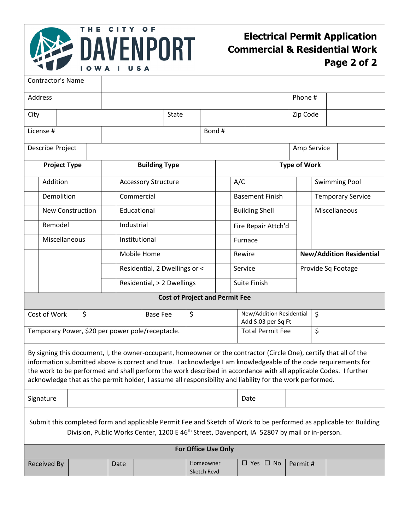

## **Electrical Permit Application Commercial & Residential Work Page 2 of 2**

|                                                                                                                                                                                                                                                                                                                                                                                                                                                                      | Contractor's Name       |               |                            |                               |                                                  |  |                          |            |                         |                                                 |                      |                                 |  |  |  |
|----------------------------------------------------------------------------------------------------------------------------------------------------------------------------------------------------------------------------------------------------------------------------------------------------------------------------------------------------------------------------------------------------------------------------------------------------------------------|-------------------------|---------------|----------------------------|-------------------------------|--------------------------------------------------|--|--------------------------|------------|-------------------------|-------------------------------------------------|----------------------|---------------------------------|--|--|--|
| Address                                                                                                                                                                                                                                                                                                                                                                                                                                                              |                         |               |                            |                               |                                                  |  |                          |            |                         |                                                 | Phone #              |                                 |  |  |  |
| City                                                                                                                                                                                                                                                                                                                                                                                                                                                                 |                         |               |                            |                               | <b>State</b>                                     |  |                          |            | Zip Code                |                                                 |                      |                                 |  |  |  |
| License #                                                                                                                                                                                                                                                                                                                                                                                                                                                            |                         |               |                            |                               |                                                  |  |                          | Bond#      |                         |                                                 |                      |                                 |  |  |  |
| Describe Project                                                                                                                                                                                                                                                                                                                                                                                                                                                     |                         |               |                            |                               |                                                  |  |                          |            |                         |                                                 |                      | Amp Service                     |  |  |  |
| <b>Project Type</b>                                                                                                                                                                                                                                                                                                                                                                                                                                                  |                         |               |                            | <b>Building Type</b>          |                                                  |  |                          |            | <b>Type of Work</b>     |                                                 |                      |                                 |  |  |  |
| Addition                                                                                                                                                                                                                                                                                                                                                                                                                                                             |                         |               | <b>Accessory Structure</b> |                               |                                                  |  |                          | A/C        |                         |                                                 | <b>Swimming Pool</b> |                                 |  |  |  |
|                                                                                                                                                                                                                                                                                                                                                                                                                                                                      |                         |               |                            |                               |                                                  |  |                          |            |                         |                                                 |                      |                                 |  |  |  |
|                                                                                                                                                                                                                                                                                                                                                                                                                                                                      | Demolition              |               |                            |                               | Commercial                                       |  |                          |            | <b>Basement Finish</b>  |                                                 |                      | <b>Temporary Service</b>        |  |  |  |
|                                                                                                                                                                                                                                                                                                                                                                                                                                                                      | <b>New Construction</b> |               |                            |                               | Educational                                      |  |                          |            | <b>Building Shell</b>   |                                                 |                      | Miscellaneous                   |  |  |  |
|                                                                                                                                                                                                                                                                                                                                                                                                                                                                      | Remodel                 |               |                            | Industrial                    |                                                  |  |                          |            | Fire Repair Attch'd     |                                                 |                      |                                 |  |  |  |
|                                                                                                                                                                                                                                                                                                                                                                                                                                                                      |                         | Miscellaneous |                            |                               | Institutional                                    |  |                          |            | Furnace                 |                                                 |                      |                                 |  |  |  |
|                                                                                                                                                                                                                                                                                                                                                                                                                                                                      |                         |               |                            |                               | Mobile Home                                      |  |                          |            | Rewire                  |                                                 |                      | <b>New/Addition Residential</b> |  |  |  |
|                                                                                                                                                                                                                                                                                                                                                                                                                                                                      |                         |               |                            | Residential, 2 Dwellings or < |                                                  |  |                          |            | Service                 |                                                 |                      | Provide Sq Footage              |  |  |  |
|                                                                                                                                                                                                                                                                                                                                                                                                                                                                      |                         |               |                            | Residential, > 2 Dwellings    |                                                  |  |                          |            | Suite Finish            |                                                 |                      |                                 |  |  |  |
| <b>Cost of Project and Permit Fee</b>                                                                                                                                                                                                                                                                                                                                                                                                                                |                         |               |                            |                               |                                                  |  |                          |            |                         |                                                 |                      |                                 |  |  |  |
| \$<br>Cost of Work                                                                                                                                                                                                                                                                                                                                                                                                                                                   |                         |               |                            |                               | <b>Base Fee</b>                                  |  |                          | \$         |                         | New/Addition Residential<br>Add \$.03 per Sq Ft |                      | $\zeta$                         |  |  |  |
|                                                                                                                                                                                                                                                                                                                                                                                                                                                                      |                         |               |                            |                               | Temporary Power, \$20 per power pole/receptacle. |  |                          |            | <b>Total Permit Fee</b> |                                                 |                      | \$                              |  |  |  |
| By signing this document, I, the owner-occupant, homeowner or the contractor (Circle One), certify that all of the<br>information submitted above is correct and true. I acknowledge I am knowledgeable of the code requirements for<br>the work to be performed and shall perform the work described in accordance with all applicable Codes. I further<br>acknowledge that as the permit holder, I assume all responsibility and liability for the work performed. |                         |               |                            |                               |                                                  |  |                          |            |                         |                                                 |                      |                                 |  |  |  |
|                                                                                                                                                                                                                                                                                                                                                                                                                                                                      | Signature               |               |                            |                               |                                                  |  |                          |            |                         | Date                                            |                      |                                 |  |  |  |
| Submit this completed form and applicable Permit Fee and Sketch of Work to be performed as applicable to: Building<br>Division, Public Works Center, 1200 E 46 <sup>th</sup> Street, Davenport, IA 52807 by mail or in-person.                                                                                                                                                                                                                                       |                         |               |                            |                               |                                                  |  |                          |            |                         |                                                 |                      |                                 |  |  |  |
| For Office Use Only                                                                                                                                                                                                                                                                                                                                                                                                                                                  |                         |               |                            |                               |                                                  |  |                          |            |                         |                                                 |                      |                                 |  |  |  |
| <b>Received By</b>                                                                                                                                                                                                                                                                                                                                                                                                                                                   |                         |               | Date                       |                               |                                                  |  | Homeowner<br>Sketch Rcvd | □ Yes □ No |                         | Permit#                                         |                      |                                 |  |  |  |